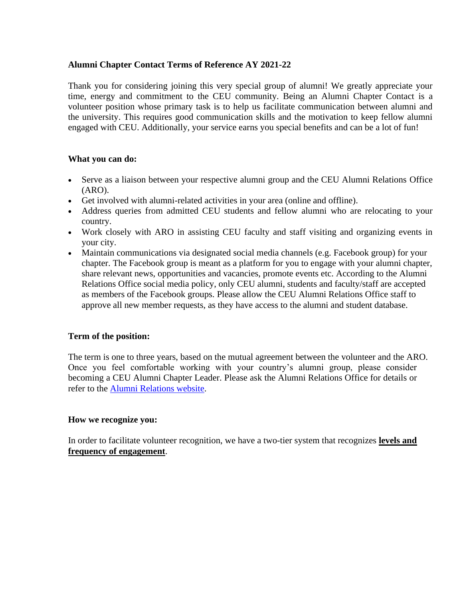# **Alumni Chapter Contact Terms of Reference AY 2021-22**

Thank you for considering joining this very special group of alumni! We greatly appreciate your time, energy and commitment to the CEU community. Being an Alumni Chapter Contact is a volunteer position whose primary task is to help us facilitate communication between alumni and the university. This requires good communication skills and the motivation to keep fellow alumni engaged with CEU. Additionally, your service earns you special benefits and can be a lot of fun!

# **What you can do:**

- Serve as a liaison between your respective alumni group and the CEU Alumni Relations Office (ARO).
- Get involved with alumni-related activities in your area (online and offline).
- Address queries from admitted CEU students and fellow alumni who are relocating to your country.
- Work closely with ARO in assisting CEU faculty and staff visiting and organizing events in your city.
- Maintain communications via designated social media channels (e.g. Facebook group) for your chapter. The Facebook group is meant as a platform for you to engage with your alumni chapter, share relevant news, opportunities and vacancies, promote events etc. According to the Alumni Relations Office social media policy, only CEU alumni, students and faculty/staff are accepted as members of the Facebook groups. Please allow the CEU Alumni Relations Office staff to approve all new member requests, as they have access to the alumni and student database.

### **Term of the position:**

The term is one to three years, based on the mutual agreement between the volunteer and the ARO. Once you feel comfortable working with your country's alumni group, please consider becoming a CEU Alumni Chapter Leader. Please ask the Alumni Relations Office for details or refer to the [Alumni Relations website.](https://alumni.ceu.edu/get-involved)

### **How we recognize you:**

In order to facilitate volunteer recognition, we have a two-tier system that recognizes **levels and frequency of engagement**.